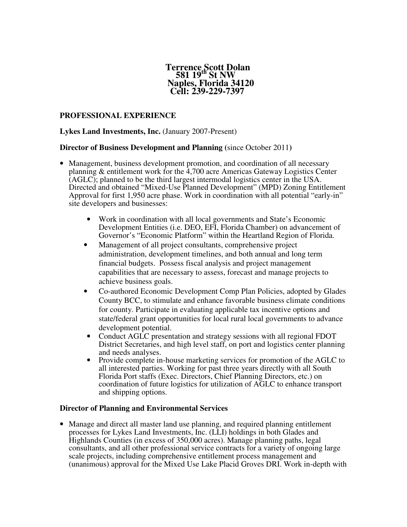#### **Terrence Scott Dolan 581 19th St NW Naples, Florida 34120 Cell: 239-229-7397**

### **PROFESSIONAL EXPERIENCE**

### **Lykes Land Investments, Inc.** (January 2007-Present)

#### **Director of Business Development and Planning (**since October 2011**)**

- Management, business development promotion, and coordination of all necessary planning & entitlement work for the 4,700 acre Americas Gateway Logistics Center (AGLC); planned to be the third largest intermodal logistics center in the USA. Directed and obtained "Mixed-Use Planned Development" (MPD) Zoning Entitlement Approval for first 1,950 acre phase. Work in coordination with all potential "early-in" site developers and businesses:
	- Work in coordination with all local governments and State's Economic Development Entities (i.e. DEO, EFI, Florida Chamber) on advancement of Governor's "Economic Platform" within the Heartland Region of Florida.
	- Management of all project consultants, comprehensive project administration, development timelines, and both annual and long term financial budgets. Possess fiscal analysis and project management capabilities that are necessary to assess, forecast and manage projects to achieve business goals.
	- Co-authored Economic Development Comp Plan Policies, adopted by Glades County BCC, to stimulate and enhance favorable business climate conditions for county. Participate in evaluating applicable tax incentive options and state/federal grant opportunities for local rural local governments to advance development potential.
	- Conduct AGLC presentation and strategy sessions with all regional FDOT District Secretaries, and high level staff, on port and logistics center planning and needs analyses.
	- Provide complete in-house marketing services for promotion of the AGLC to all interested parties. Working for past three years directly with all South Florida Port staffs (Exec. Directors, Chief Planning Directors, etc.) on coordination of future logistics for utilization of AGLC to enhance transport and shipping options.

### **Director of Planning and Environmental Services**

• Manage and direct all master land use planning, and required planning entitlement processes for Lykes Land Investments, Inc. (LLI) holdings in both Glades and Highlands Counties (in excess of 350,000 acres). Manage planning paths, legal consultants, and all other professional service contracts for a variety of ongoing large scale projects, including comprehensive entitlement process management and (unanimous) approval for the Mixed Use Lake Placid Groves DRI. Work in-depth with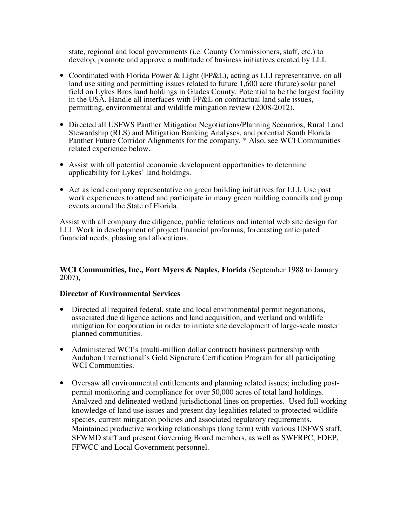state, regional and local governments (i.e. County Commissioners, staff, etc.) to develop, promote and approve a multitude of business initiatives created by LLI.

- Coordinated with Florida Power & Light (FP&L), acting as LLI representative, on all land use siting and permitting issues related to future 1,600 acre (future) solar panel field on Lykes Bros land holdings in Glades County. Potential to be the largest facility in the USA. Handle all interfaces with FP&L on contractual land sale issues, permitting, environmental and wildlife mitigation review (2008-2012).
- Directed all USFWS Panther Mitigation Negotiations/Planning Scenarios, Rural Land Stewardship (RLS) and Mitigation Banking Analyses, and potential South Florida Panther Future Corridor Alignments for the company. \* Also, see WCI Communities related experience below.
- Assist with all potential economic development opportunities to determine applicability for Lykes' land holdings.
- Act as lead company representative on green building initiatives for LLI. Use past work experiences to attend and participate in many green building councils and group events around the State of Florida.

Assist with all company due diligence, public relations and internal web site design for LLI. Work in development of project financial proformas, forecasting anticipated financial needs, phasing and allocations.

### **WCI Communities, Inc., Fort Myers & Naples, Florida** (September 1988 to January 2007),

### **Director of Environmental Services**

- Directed all required federal, state and local environmental permit negotiations, associated due diligence actions and land acquisition, and wetland and wildlife mitigation for corporation in order to initiate site development of large-scale master planned communities.
- Administered WCI's (multi-million dollar contract) business partnership with Audubon International's Gold Signature Certification Program for all participating WCI Communities.
- Oversaw all environmental entitlements and planning related issues; including postpermit monitoring and compliance for over 50,000 acres of total land holdings. Analyzed and delineated wetland jurisdictional lines on properties. Used full working knowledge of land use issues and present day legalities related to protected wildlife species, current mitigation policies and associated regulatory requirements. Maintained productive working relationships (long term) with various USFWS staff, SFWMD staff and present Governing Board members, as well as SWFRPC, FDEP, FFWCC and Local Government personnel.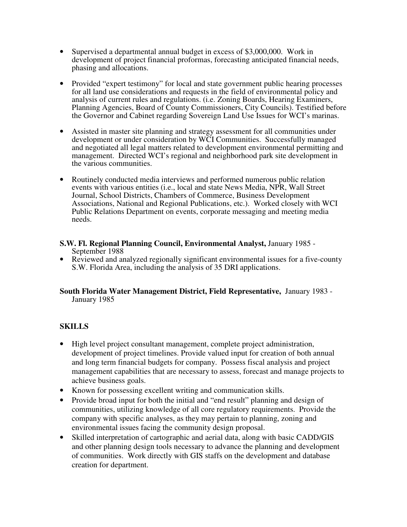- Supervised a departmental annual budget in excess of \$3,000,000. Work in development of project financial proformas, forecasting anticipated financial needs, phasing and allocations.
- Provided "expert testimony" for local and state government public hearing processes for all land use considerations and requests in the field of environmental policy and analysis of current rules and regulations. (i.e. Zoning Boards, Hearing Examiners, Planning Agencies, Board of County Commissioners, City Councils). Testified before the Governor and Cabinet regarding Sovereign Land Use Issues for WCI's marinas.
- Assisted in master site planning and strategy assessment for all communities under development or under consideration by WCI Communities. Successfully managed and negotiated all legal matters related to development environmental permitting and management. Directed WCI's regional and neighborhood park site development in the various communities.
- Routinely conducted media interviews and performed numerous public relation events with various entities (i.e., local and state News Media, NPR, Wall Street Journal, School Districts, Chambers of Commerce, Business Development Associations, National and Regional Publications, etc.). Worked closely with WCI Public Relations Department on events, corporate messaging and meeting media needs.
- **S.W. Fl. Regional Planning Council, Environmental Analyst,** January 1985 September 1988
- Reviewed and analyzed regionally significant environmental issues for a five-county S.W. Florida Area, including the analysis of 35 DRI applications.

### **South Florida Water Management District, Field Representative,** January 1983 - January 1985

# **SKILLS**

- High level project consultant management, complete project administration, development of project timelines. Provide valued input for creation of both annual and long term financial budgets for company. Possess fiscal analysis and project management capabilities that are necessary to assess, forecast and manage projects to achieve business goals.
- Known for possessing excellent writing and communication skills.
- Provide broad input for both the initial and "end result" planning and design of communities, utilizing knowledge of all core regulatory requirements. Provide the company with specific analyses, as they may pertain to planning, zoning and environmental issues facing the community design proposal.
- Skilled interpretation of cartographic and aerial data, along with basic CADD/GIS and other planning design tools necessary to advance the planning and development of communities. Work directly with GIS staffs on the development and database creation for department.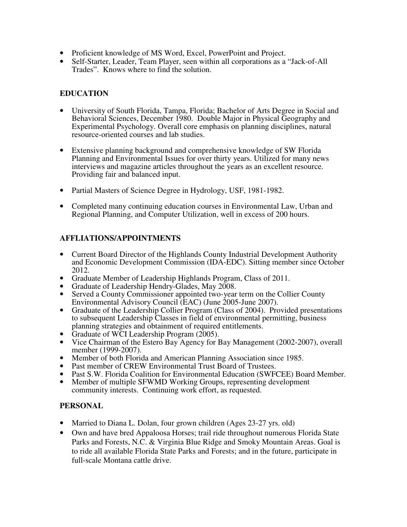- Proficient knowledge of MS Word, Excel, PowerPoint and Project.
- Self-Starter, Leader, Team Player, seen within all corporations as a "Jack-of-All Trades". Knows where to find the solution.

## **EDUCATION**

- University of South Florida, Tampa, Florida; Bachelor of Arts Degree in Social and Behavioral Sciences, December 1980. Double Major in Physical Geography and Experimental Psychology. Overall core emphasis on planning disciplines, natural resource-oriented courses and lab studies.
- Extensive planning background and comprehensive knowledge of SW Florida Planning and Environmental Issues for over thirty years. Utilized for many news interviews and magazine articles throughout the years as an excellent resource. Providing fair and balanced input.
- Partial Masters of Science Degree in Hydrology, USF, 1981-1982.
- Completed many continuing education courses in Environmental Law, Urban and Regional Planning, and Computer Utilization, well in excess of 200 hours.

## **AFFLIATIONS/APPOINTMENTS**

- Current Board Director of the Highlands County Industrial Development Authority and Economic Development Commission (IDA-EDC). Sitting member since October 2012.
- Graduate Member of Leadership Highlands Program, Class of 2011.
- Graduate of Leadership Hendry-Glades, May 2008.
- Served a County Commissioner appointed two-year term on the Collier County Environmental Advisory Council (EAC) (June 2005-June 2007).
- Graduate of the Leadership Collier Program (Class of 2004). Provided presentations to subsequent Leadership Classes in field of environmental permitting, business planning strategies and obtainment of required entitlements.
- Graduate of WCI Leadership Program (2005).
- Vice Chairman of the Estero Bay Agency for Bay Management (2002-2007), overall member (1999-2007).
- Member of both Florida and American Planning Association since 1985.
- Past member of CREW Environmental Trust Board of Trustees.
- Past S.W. Florida Coalition for Environmental Education (SWFCEE) Board Member.
- Member of multiple SFWMD Working Groups, representing development community interests. Continuing work effort, as requested.

### **PERSONAL**

- Married to Diana L. Dolan, four grown children (Ages 23-27 yrs. old)
- Own and have bred Appaloosa Horses; trail ride throughout numerous Florida State Parks and Forests, N.C. & Virginia Blue Ridge and Smoky Mountain Areas. Goal is to ride all available Florida State Parks and Forests; and in the future, participate in full-scale Montana cattle drive.